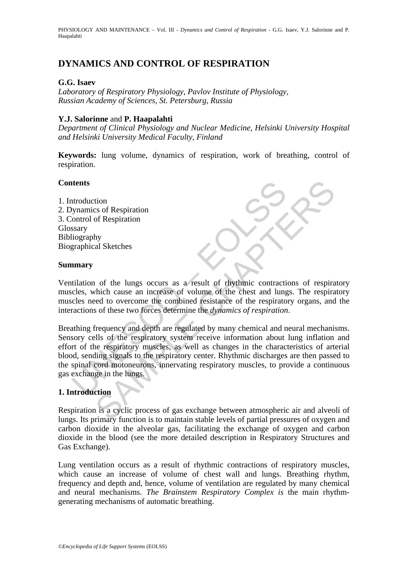PHYSIOLOGY AND MAINTENANCE – Vol. III - *Dynamics and Control of Respiration* - G.G. Isaev, Y.J. Salorinne and P. Haapalahti

# **DYNAMICS AND CONTROL OF RESPIRATION**

### **G.G. Isaev**

*Laboratory of Respiratory Physiology, Pavlov Institute of Physiology, Russian Academy of Sciences, St. Petersburg, Russia*

#### **Y.J. Salorinne** and **P. Haapalahti**

*Department of Clinical Physiology and Nuclear Medicine, Helsinki University Hospital and Helsinki University Medical Faculty, Finland* 

**Keywords:** lung volume, dynamics of respiration, work of breathing, control of respiration.

#### **Contents**

1. Introduction 2. Dynamics of Respiration 3. Control of Respiration Glossary Bibliography Biographical Sketches

#### **Summary**

Ventilation of the lungs occurs as a result of rhythmic contractions of respiratory muscles, which cause an increase of volume of the chest and lungs. The respiratory muscles need to overcome the combined resistance of the respiratory organs, and the interactions of these two forces determine the *dynamics of respiration*.

**Example 18**<br>
Introduction<br>
bynamics of Respiration<br>
Seary<br>
liography<br>
graphical Sketches<br> **analytical Sketches**<br> **analytical Sketches**<br> **analytical Sketches**<br> **analytical Sketches**<br> **analytical Sketches**<br> **analytical Sket** tion<br>of Respiration<br>of Respiration<br>the all Sketches<br>the draws an increase of volume of the charge increase of viewing and<br>the draws an increase of volume of the cheat and lungs. The respirate<br>ed to overcome the combined re Breathing frequency and depth are regulated by many chemical and neural mechanisms. Sensory cells of the respiratory system receive information about lung inflation and effort of the respiratory muscles, as well as changes in the characteristics of arterial blood, sending signals to the respiratory center. Rhythmic discharges are then passed to the spinal cord motoneurons, innervating respiratory muscles, to provide a continuous gas exchange in the lungs.

### **1. Introduction**

Respiration is a cyclic process of gas exchange between atmospheric air and alveoli of lungs. Its primary function is to maintain stable levels of partial pressures of oxygen and carbon dioxide in the alveolar gas, facilitating the exchange of oxygen and carbon dioxide in the blood (see the more detailed description in Respiratory Structures and Gas Exchange).

Lung ventilation occurs as a result of rhythmic contractions of respiratory muscles, which cause an increase of volume of chest wall and lungs. Breathing rhythm, frequency and depth and, hence, volume of ventilation are regulated by many chemical and neural mechanisms. *The Brainstem Respiratory Complex is* the main rhythmgenerating mechanisms of automatic breathing.